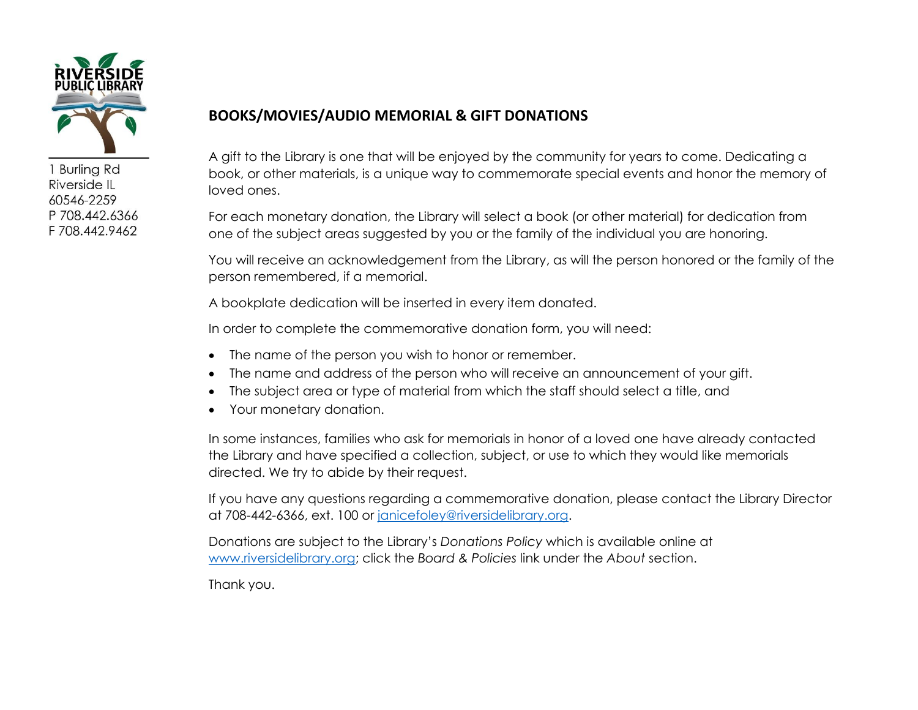

## **BOOKS/MOVIES/AUDIO MEMORIAL & GIFT DONATIONS**

A gift to the Library is one that will be enjoyed by the community for years to come. Dedicating a book, or other materials, is a unique way to commemorate special events and honor the memory of loved ones.

For each monetary donation, the Library will select a book (or other material) for dedication from one of the subject areas suggested by you or the family of the individual you are honoring.

You will receive an acknowledgement from the Library, as will the person honored or the family of the person remembered, if a memorial.

A bookplate dedication will be inserted in every item donated.

In order to complete the commemorative donation form, you will need:

- The name of the person you wish to honor or remember.
- The name and address of the person who will receive an announcement of your gift.
- The subject area or type of material from which the staff should select a title, and
- Your monetary donation.

In some instances, families who ask for memorials in honor of a loved one have already contacted the Library and have specified a collection, subject, or use to which they would like memorials directed. We try to abide by their request.

If you have any questions regarding a commemorative donation, please contact the Library Director at 708-442-6366, ext. 100 or [janicefoley@riversidelibrary.org.](mailto:janicefoley@riversidelibrary.org)

Donations are subject to the Library's *Donations Policy* which is available online at [www.riversidelibrary.org;](http://www.riversidelibrary.org/) click the *Board & Policies* link under the *About* section.

Thank you.